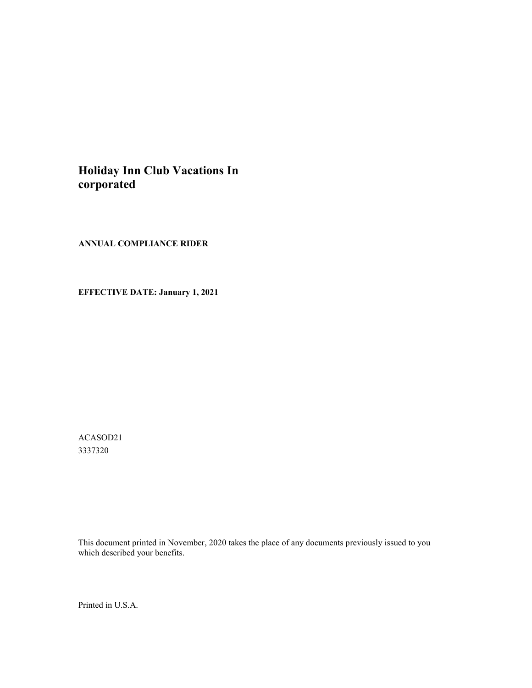# **Holiday Inn Club Vacations In corporated**

**ANNUAL COMPLIANCE RIDER**

**EFFECTIVE DATE: January 1, 2021**

ACASOD21 3337320

This document printed in November, 2020 takes the place of any documents previously issued to you which described your benefits.

Printed in U.S.A.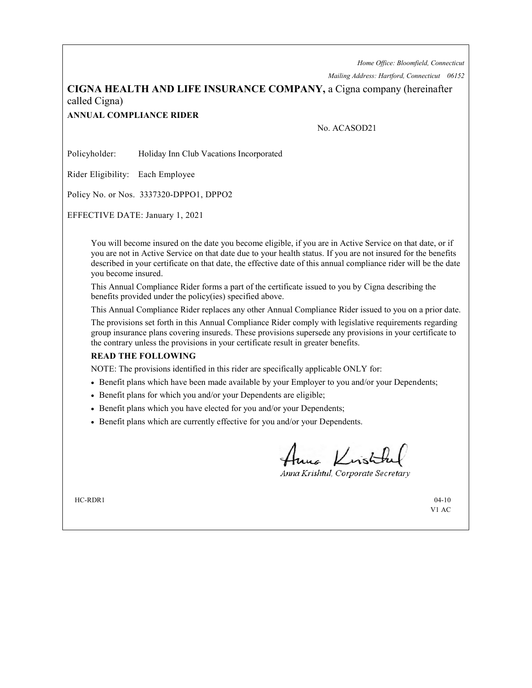*Home Office: Bloomfield, Connecticut*

*Mailing Address: Hartford, Connecticut 06152*

# **CIGNA HEALTH AND LIFE INSURANCE COMPANY,** a Cigna company (hereinafter called Cigna)

## **ANNUAL COMPLIANCE RIDER**

### No. ACASOD21

Policyholder: Holiday Inn Club Vacations Incorporated

Rider Eligibility: Each Employee

Policy No. or Nos. 3337320-DPPO1, DPPO2

EFFECTIVE DATE: January 1, 2021

You will become insured on the date you become eligible, if you are in Active Service on that date, or if you are not in Active Service on that date due to your health status. If you are not insured for the benefits described in your certificate on that date, the effective date of this annual compliance rider will be the date you become insured.

This Annual Compliance Rider forms a part of the certificate issued to you by Cigna describing the benefits provided under the policy(ies) specified above.

This Annual Compliance Rider replaces any other Annual Compliance Rider issued to you on a prior date.

The provisions set forth in this Annual Compliance Rider comply with legislative requirements regarding group insurance plans covering insureds. These provisions supersede any provisions in your certificate to the contrary unless the provisions in your certificate result in greater benefits.

#### **READ THE FOLLOWING**

NOTE: The provisions identified in this rider are specifically applicable ONLY for:

- Benefit plans which have been made available by your Employer to you and/or your Dependents;
- Benefit plans for which you and/or your Dependents are eligible;
- Benefit plans which you have elected for you and/or your Dependents;
- Benefit plans which are currently effective for you and/or your Dependents.

tuna Kristi

Anna Krishtul, Corporate Secretary

V1 AC

 $HC-RDR1$  04-10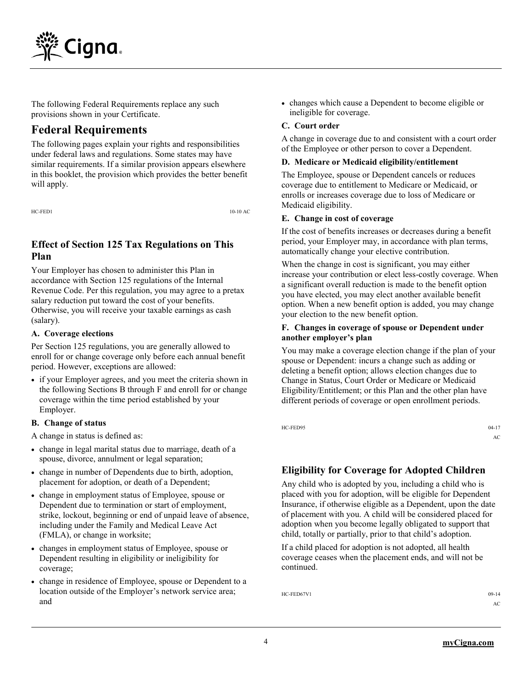

The following Federal Requirements replace any such provisions shown in your Certificate.

# **Federal Requirements**

The following pages explain your rights and responsibilities under federal laws and regulations. Some states may have similar requirements. If a similar provision appears elsewhere in this booklet, the provision which provides the better benefit will apply.

HC-FED1 10-10 AC

# **Effect of Section 125 Tax Regulations on This Plan**

Your Employer has chosen to administer this Plan in accordance with Section 125 regulations of the Internal Revenue Code. Per this regulation, you may agree to a pretax salary reduction put toward the cost of your benefits. Otherwise, you will receive your taxable earnings as cash (salary).

#### **A. Coverage elections**

Per Section 125 regulations, you are generally allowed to enroll for or change coverage only before each annual benefit period. However, exceptions are allowed:

 if your Employer agrees, and you meet the criteria shown in the following Sections B through F and enroll for or change coverage within the time period established by your Employer.

### **B. Change of status**

A change in status is defined as:

- change in legal marital status due to marriage, death of a spouse, divorce, annulment or legal separation;
- change in number of Dependents due to birth, adoption, placement for adoption, or death of a Dependent;
- change in employment status of Employee, spouse or Dependent due to termination or start of employment, strike, lockout, beginning or end of unpaid leave of absence, including under the Family and Medical Leave Act (FMLA), or change in worksite;
- changes in employment status of Employee, spouse or Dependent resulting in eligibility or ineligibility for coverage;
- change in residence of Employee, spouse or Dependent to a location outside of the Employer's network service area; and

 changes which cause a Dependent to become eligible or ineligible for coverage.

### **C. Court order**

A change in coverage due to and consistent with a court order of the Employee or other person to cover a Dependent.

#### **D. Medicare or Medicaid eligibility/entitlement**

The Employee, spouse or Dependent cancels or reduces coverage due to entitlement to Medicare or Medicaid, or enrolls or increases coverage due to loss of Medicare or Medicaid eligibility.

#### **E. Change in cost of coverage**

If the cost of benefits increases or decreases during a benefit period, your Employer may, in accordance with plan terms, automatically change your elective contribution.

When the change in cost is significant, you may either increase your contribution or elect less-costly coverage. When a significant overall reduction is made to the benefit option you have elected, you may elect another available benefit option. When a new benefit option is added, you may change your election to the new benefit option.

#### **F. Changes in coverage of spouse or Dependent under another employer's plan**

You may make a coverage election change if the plan of your spouse or Dependent: incurs a change such as adding or deleting a benefit option; allows election changes due to Change in Status, Court Order or Medicare or Medicaid Eligibility/Entitlement; or this Plan and the other plan have different periods of coverage or open enrollment periods.

HC-FED95 04-17

AC

# **Eligibility for Coverage for Adopted Children**

Any child who is adopted by you, including a child who is placed with you for adoption, will be eligible for Dependent Insurance, if otherwise eligible as a Dependent, upon the date of placement with you. A child will be considered placed for adoption when you become legally obligated to support that child, totally or partially, prior to that child's adoption.

If a child placed for adoption is not adopted, all health coverage ceases when the placement ends, and will not be continued.

 $HC-FED67V1$  09-14